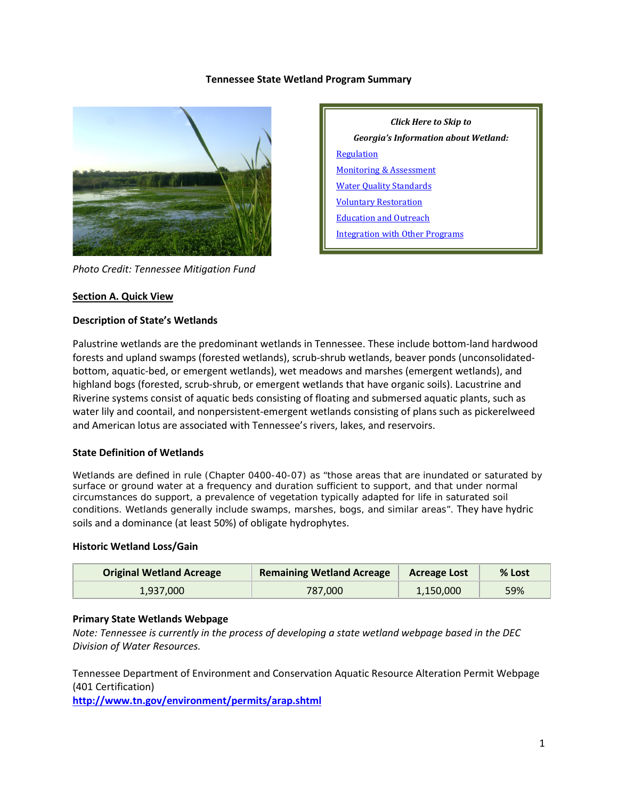#### **Tennessee State Wetland Program Summary**



*Photo Credit: Tennessee Mitigation Fund*

#### **Section A. Quick View**

#### **Description of State's Wetlands**

Palustrine wetlands are the predominant wetlands in Tennessee. These include bottom-land hardwood forests and upland swamps (forested wetlands), scrub-shrub wetlands, beaver ponds (unconsolidatedbottom, aquatic-bed, or emergent wetlands), wet meadows and marshes (emergent wetlands), and highland bogs (forested, scrub-shrub, or emergent wetlands that have organic soils). Lacustrine and Riverine systems consist of aquatic beds consisting of floating and submersed aquatic plants, such as water lily and coontail, and nonpersistent-emergent wetlands consisting of plans such as pickerelweed and American lotus are associated with Tennessee's rivers, lakes, and reservoirs.

### **State Definition of Wetlands**

Wetlands are defined in rule (Chapter 0400-40-07) as "those areas that are inundated or saturated by surface or ground water at a frequency and duration sufficient to support, and that under normal circumstances do support, a prevalence of vegetation typically adapted for life in saturated soil conditions. Wetlands generally include swamps, marshes, bogs, and similar areas". They have hydric soils and a dominance (at least 50%) of obligate hydrophytes.

#### **Historic Wetland Loss/Gain**

| <b>Original Wetland Acreage</b> | <b>Remaining Wetland Acreage</b> | <b>Acreage Lost</b> | % Lost |
|---------------------------------|----------------------------------|---------------------|--------|
| 1.937.000                       | 787.000                          | 1,150,000           | 59%    |

# **Primary State Wetlands Webpage**

*Note: Tennessee is currently in the process of developing a state wetland webpage based in the DEC Division of Water Resources.*

Tennessee Department of Environment and Conservation Aquatic Resource Alteration Permit Webpage (401 Certification)

**<http://www.tn.gov/environment/permits/arap.shtml>**

| Click Here to Skip to                  |  |  |  |  |
|----------------------------------------|--|--|--|--|
| Georgia's Information about Wetland:   |  |  |  |  |
| Regulation                             |  |  |  |  |
| <b>Monitoring &amp; Assessment</b>     |  |  |  |  |
| <b>Water Quality Standards</b>         |  |  |  |  |
| <b>Voluntary Restoration</b>           |  |  |  |  |
| <b>Education and Outreach</b>          |  |  |  |  |
| <b>Integration with Other Programs</b> |  |  |  |  |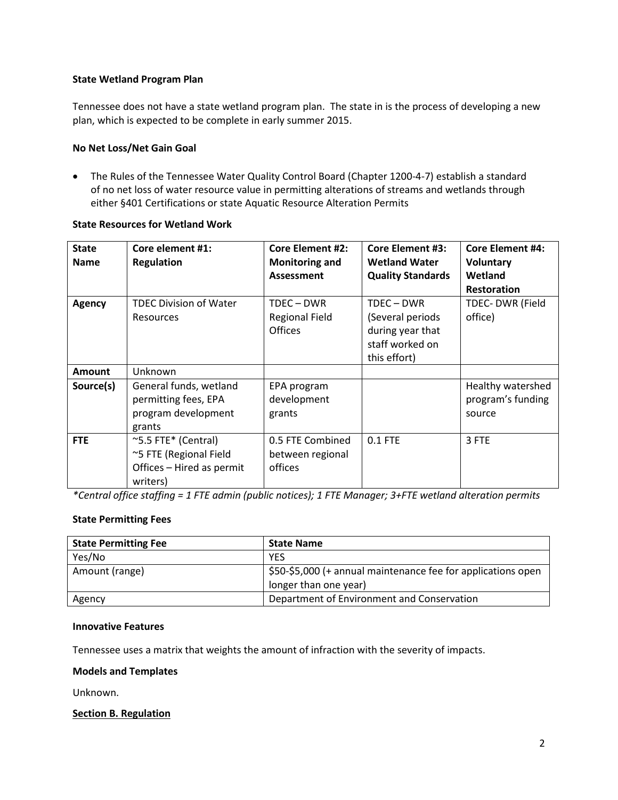# **State Wetland Program Plan**

Tennessee does not have a state wetland program plan. The state in is the process of developing a new plan, which is expected to be complete in early summer 2015.

# **No Net Loss/Net Gain Goal**

• The Rules of the Tennessee Water Quality Control Board (Chapter 1200-4-7) establish a standard of no net loss of water resource value in permitting alterations of streams and wetlands through either §401 Certifications or state Aquatic Resource Alteration Permits

# **State Resources for Wetland Work**

| <b>State</b><br><b>Name</b> | Core element #1:<br><b>Regulation</b>                                                  | <b>Core Element #2:</b><br><b>Monitoring and</b><br>Assessment | <b>Core Element #3:</b><br><b>Wetland Water</b><br><b>Quality Standards</b>           | <b>Core Element #4:</b><br><b>Voluntary</b><br>Wetland<br><b>Restoration</b> |
|-----------------------------|----------------------------------------------------------------------------------------|----------------------------------------------------------------|---------------------------------------------------------------------------------------|------------------------------------------------------------------------------|
| <b>Agency</b>               | <b>TDEC Division of Water</b><br><b>Resources</b>                                      | TDEC – DWR<br><b>Regional Field</b><br><b>Offices</b>          | TDEC - DWR<br>(Several periods<br>during year that<br>staff worked on<br>this effort) | TDEC- DWR (Field<br>office)                                                  |
| <b>Amount</b>               | Unknown                                                                                |                                                                |                                                                                       |                                                                              |
| Source(s)                   | General funds, wetland<br>permitting fees, EPA<br>program development<br>grants        | EPA program<br>development<br>grants                           |                                                                                       | Healthy watershed<br>program's funding<br>source                             |
| <b>FTE</b>                  | ~5.5 FTE* (Central)<br>~5 FTE (Regional Field<br>Offices - Hired as permit<br>writers) | 0.5 FTE Combined<br>between regional<br>offices                | $0.1$ FTE                                                                             | 3 FTE                                                                        |

*\*Central office staffing = 1 FTE admin (public notices); 1 FTE Manager; 3+FTE wetland alteration permits*

# **State Permitting Fees**

| <b>State Permitting Fee</b> | <b>State Name</b>                                            |
|-----------------------------|--------------------------------------------------------------|
| Yes/No                      | <b>YFS</b>                                                   |
| Amount (range)              | \$50-\$5,000 (+ annual maintenance fee for applications open |
|                             | longer than one year)                                        |
| Agency                      | Department of Environment and Conservation                   |

# **Innovative Features**

Tennessee uses a matrix that weights the amount of infraction with the severity of impacts.

# **Models and Templates**

Unknown.

# <span id="page-1-0"></span>**Section B. Regulation**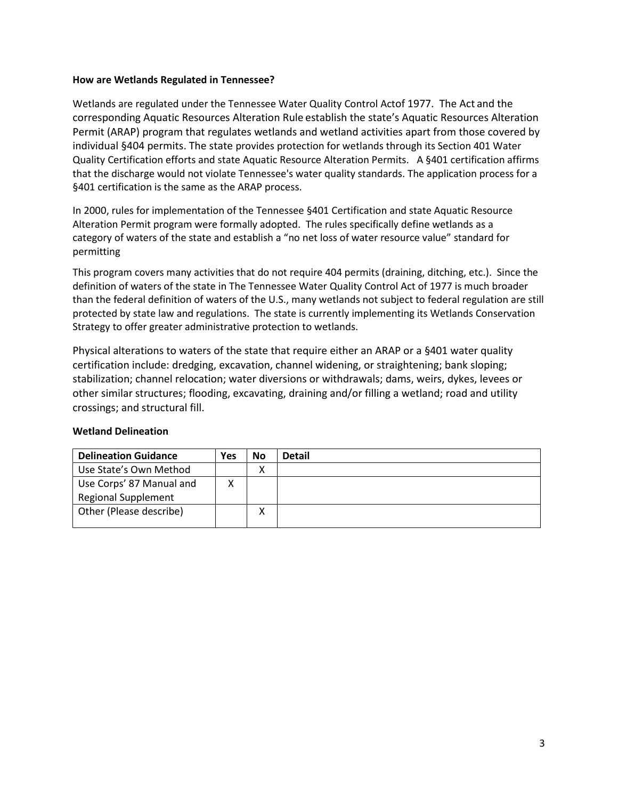### **How are Wetlands Regulated in Tennessee?**

Wetlands are regulated under the Tennessee Water Quality Control Actof 1977. The Act and the corresponding Aquatic Resources Alteration Rule establish the state's Aquatic Resources Alteration Permit (ARAP) program that regulates wetlands and wetland activities apart from those covered by individual §404 permits. The state provides protection for wetlands through its Section 401 Water Quality Certification efforts and state Aquatic Resource Alteration Permits. A §401 certification affirms that the discharge would not violate Tennessee's water quality standards. The application process for a §401 certification is the same as the ARAP process.

In 2000, rules for implementation of the Tennessee §401 Certification and state Aquatic Resource Alteration Permit program were formally adopted. The rules specifically define wetlands as a category of waters of the state and establish a "no net loss of water resource value" standard for permitting

This program covers many activities that do not require 404 permits (draining, ditching, etc.). Since the definition of waters of the state in The Tennessee Water Quality Control Act of 1977 is much broader than the federal definition of waters of the U.S., many wetlands not subject to federal regulation are still protected by state law and regulations. The state is currently implementing its Wetlands Conservation Strategy to offer greater administrative protection to wetlands.

Physical alterations to waters of the state that require either an ARAP or a §401 water quality certification include: dredging, excavation, channel widening, or straightening; bank sloping; stabilization; channel relocation; water diversions or withdrawals; dams, weirs, dykes, levees or other similar structures; flooding, excavating, draining and/or filling a wetland; road and utility crossings; and structural fill.

|  | <b>Wetland Delineation</b> |
|--|----------------------------|
|--|----------------------------|

| <b>Delineation Guidance</b> | Yes | <b>No</b> | <b>Detail</b> |
|-----------------------------|-----|-----------|---------------|
| Use State's Own Method      |     | χ         |               |
| Use Corps' 87 Manual and    |     |           |               |
| <b>Regional Supplement</b>  |     |           |               |
| Other (Please describe)     |     | v         |               |
|                             |     |           |               |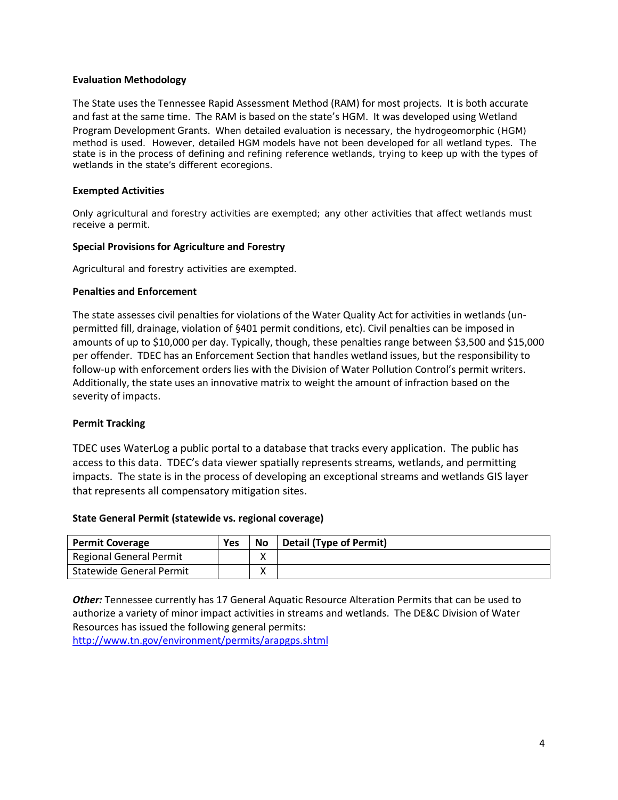### **Evaluation Methodology**

The State uses the Tennessee Rapid Assessment Method (RAM) for most projects. It is both accurate and fast at the same time. The RAM is based on the state's HGM. It was developed using Wetland Program Development Grants. When detailed evaluation is necessary, the hydrogeomorphic (HGM) method is used. However, detailed HGM models have not been developed for all wetland types. The state is in the process of defining and refining reference wetlands, trying to keep up with the types of wetlands in the state's different ecoregions.

### **Exempted Activities**

Only agricultural and forestry activities are exempted; any other activities that affect wetlands must receive a permit.

### **Special Provisions for Agriculture and Forestry**

Agricultural and forestry activities are exempted.

#### **Penalties and Enforcement**

The state assesses civil penalties for violations of the Water Quality Act for activities in wetlands (unpermitted fill, drainage, violation of §401 permit conditions, etc). Civil penalties can be imposed in amounts of up to \$10,000 per day. Typically, though, these penalties range between \$3,500 and \$15,000 per offender.TDEC has an Enforcement Section that handles wetland issues, but the responsibility to follow-up with enforcement orders lies with the Division of Water Pollution Control's permit writers. Additionally, the state uses an innovative matrix to weight the amount of infraction based on the severity of impacts.

# **Permit Tracking**

TDEC uses WaterLog a public portal to a database that tracks every application. The public has access to this data. TDEC's data viewer spatially represents streams, wetlands, and permitting impacts. The state is in the process of developing an exceptional streams and wetlands GIS layer that represents all compensatory mitigation sites.

#### **State General Permit (statewide vs. regional coverage)**

| <b>Permit Coverage</b>          | Yes | <b>No</b> | <b>Detail (Type of Permit)</b> |
|---------------------------------|-----|-----------|--------------------------------|
| Regional General Permit         |     |           |                                |
| <b>Statewide General Permit</b> |     |           |                                |

*Other:* Tennessee currently has 17 General Aquatic Resource Alteration Permits that can be used to authorize a variety of minor impact activities in streams and wetlands. The DE&C Division of Water Resources has issued the following general permits:

<http://www.tn.gov/environment/permits/arapgps.shtml>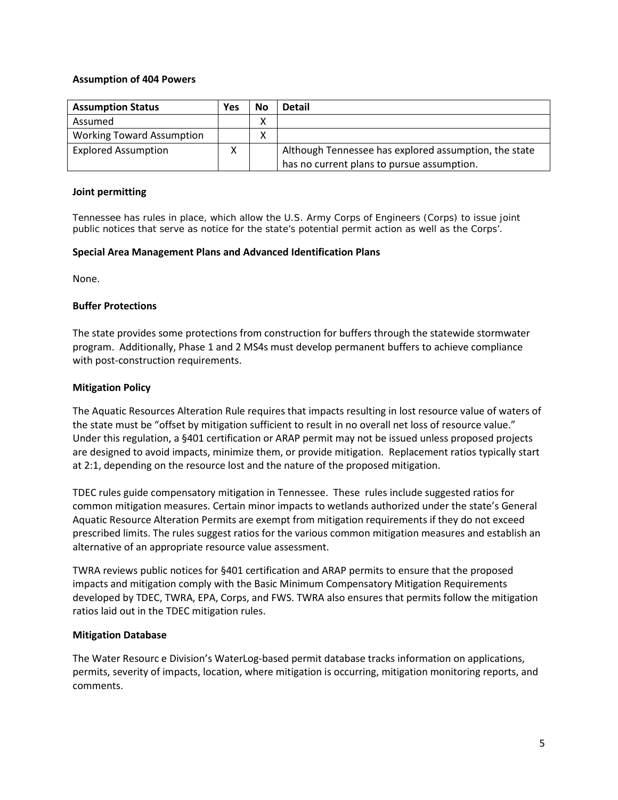## **Assumption of 404 Powers**

| <b>Assumption Status</b>         | Yes | No     | <b>Detail</b>                                         |
|----------------------------------|-----|--------|-------------------------------------------------------|
| Assumed                          |     | v<br>⋏ |                                                       |
| <b>Working Toward Assumption</b> |     | ⋏      |                                                       |
| <b>Explored Assumption</b>       | v   |        | Although Tennessee has explored assumption, the state |
|                                  |     |        | has no current plans to pursue assumption.            |

### **Joint permitting**

Tennessee has rules in place, which allow the U.S. Army Corps of Engineers (Corps) to issue joint public notices that serve as notice for the state's potential permit action as well as the Corps'.

### **Special Area Management Plans and Advanced Identification Plans**

None.

### **Buffer Protections**

The state provides some protections from construction for buffers through the statewide stormwater program. Additionally, Phase 1 and 2 MS4s must develop permanent buffers to achieve compliance with post-construction requirements.

### **Mitigation Policy**

The Aquatic Resources Alteration Rule requires that impacts resulting in lost resource value of waters of the state must be "offset by mitigation sufficient to result in no overall net loss of resource value." Under this regulation, a §401 certification or ARAP permit may not be issued unless proposed projects are designed to avoid impacts, minimize them, or provide mitigation. Replacement ratios typically start at 2:1, depending on the resource lost and the nature of the proposed mitigation.

TDEC rules guide compensatory mitigation in Tennessee. These rules include suggested ratios for common mitigation measures. Certain minor impacts to wetlands authorized under the state's General Aquatic Resource Alteration Permits are exempt from mitigation requirements if they do not exceed prescribed limits. The rules suggest ratios for the various common mitigation measures and establish an alternative of an appropriate resource value assessment.

TWRA reviews public notices for §401 certification and ARAP permits to ensure that the proposed impacts and mitigation comply with the Basic Minimum Compensatory Mitigation Requirements developed by TDEC, TWRA, EPA, Corps, and FWS. TWRA also ensures that permits follow the mitigation ratios laid out in the TDEC mitigation rules.

# **Mitigation Database**

The Water Resourc e Division's WaterLog-based permit database tracks information on applications, permits, severity of impacts, location, where mitigation is occurring, mitigation monitoring reports, and comments.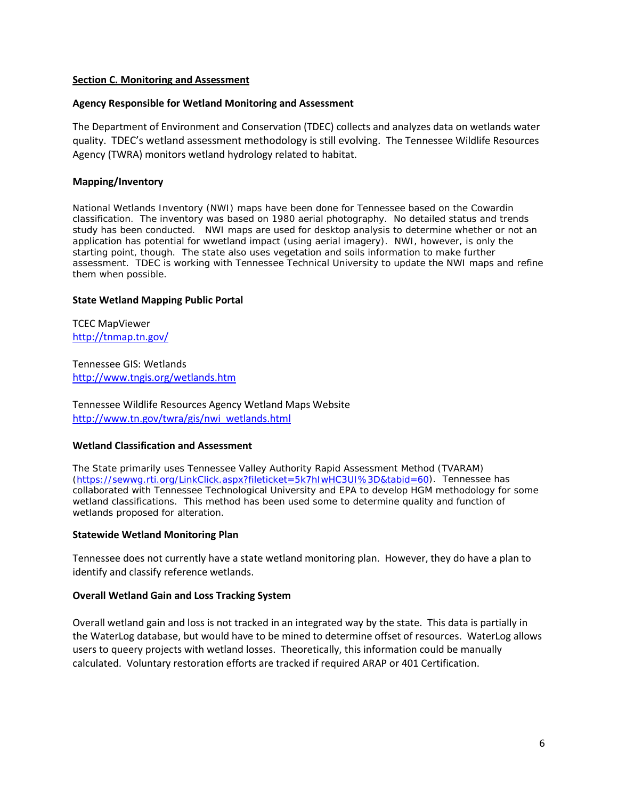### <span id="page-5-0"></span>**Section C. Monitoring and Assessment**

#### **Agency Responsible for Wetland Monitoring and Assessment**

The Department of Environment and Conservation (TDEC) collects and analyzes data on wetlands water quality. TDEC's wetland assessment methodology is still evolving. The Tennessee Wildlife Resources Agency (TWRA) monitors wetland hydrology related to habitat.

### **Mapping/Inventory**

National Wetlands Inventory (NWI) maps have been done for Tennessee based on the Cowardin classification. The inventory was based on 1980 aerial photography. No detailed status and trends study has been conducted. NWI maps are used for desktop analysis to determine whether or not an application has potential for wwetland impact (using aerial imagery). NWI, however, is only the starting point, though. The state also uses vegetation and soils information to make further assessment. TDEC is working with Tennessee Technical University to update the NWI maps and refine them when possible.

### **State Wetland Mapping Public Portal**

TCEC MapViewer <http://tnmap.tn.gov/>

Tennessee GIS: Wetlands <http://www.tngis.org/wetlands.htm>

Tennessee Wildlife Resources Agency Wetland Maps Website [http://www.tn.gov/twra/gis/nwi\\_wetlands.html](http://www.tn.gov/twra/gis/nwi_wetlands.html)

#### **Wetland Classification and Assessment**

The State primarily uses Tennessee Valley Authority Rapid Assessment Method (TVARAM) [\(https://sewwg.rti.org/LinkClick.aspx?fileticket=5k7hIwHC3UI%3D&tabid=60\)](https://sewwg.rti.org/LinkClick.aspx?fileticket=5k7hIwHC3UI%3D&tabid=60). Tennessee has collaborated with Tennessee Technological University and EPA to develop HGM methodology for some wetland classifications. This method has been used some to determine quality and function of wetlands proposed for alteration.

#### **Statewide Wetland Monitoring Plan**

Tennessee does not currently have a state wetland monitoring plan. However, they do have a plan to identify and classify reference wetlands.

#### **Overall Wetland Gain and Loss Tracking System**

Overall wetland gain and loss is not tracked in an integrated way by the state. This data is partially in the WaterLog database, but would have to be mined to determine offset of resources. WaterLog allows users to queery projects with wetland losses. Theoretically, this information could be manually calculated. Voluntary restoration efforts are tracked if required ARAP or 401 Certification.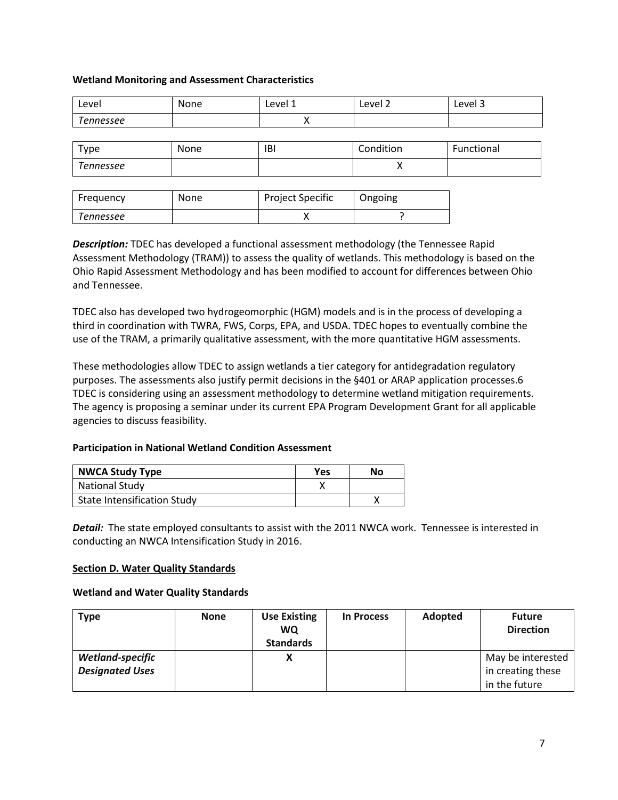# **Wetland Monitoring and Assessment Characteristics**

| Level     | None | Level 1 | Level 2   | Level 3    |
|-----------|------|---------|-----------|------------|
| Tennessee |      |         |           |            |
|           |      |         |           |            |
| туре      | None | IBI     | Condition | Functional |

| Tennessee        |             |                         |         |  |
|------------------|-------------|-------------------------|---------|--|
|                  |             |                         |         |  |
| <b>Erequency</b> | <b>None</b> | <b>Project Specific</b> | Ongoing |  |

| Frequency | None | <b>Project Specific</b> | Ongoing |
|-----------|------|-------------------------|---------|
| Tennessee |      |                         |         |

*Description:* TDEC has developed a functional assessment methodology (the Tennessee Rapid Assessment Methodology (TRAM)) to assess the quality of wetlands. This methodology is based on the Ohio Rapid Assessment Methodology and has been modified to account for differences between Ohio and Tennessee.

TDEC also has developed two hydrogeomorphic (HGM) models and is in the process of developing a third in coordination with TWRA, FWS, Corps, EPA, and USDA. TDEC hopes to eventually combine the use of the TRAM, a primarily qualitative assessment, with the more quantitative HGM assessments.

These methodologies allow TDEC to assign wetlands a tier category for antidegradation regulatory purposes. The assessments also justify permit decisions in the §401 or ARAP application processes.6 TDEC is considering using an assessment methodology to determine wetland mitigation requirements. The agency is proposing a seminar under its current EPA Program Development Grant for all applicable agencies to discuss feasibility.

# **Participation in National Wetland Condition Assessment**

| <b>NWCA Study Type</b>             | Yes | No |
|------------------------------------|-----|----|
| <b>National Study</b>              |     |    |
| <b>State Intensification Study</b> |     |    |

*Detail:* The state employed consultants to assist with the 2011 NWCA work. Tennessee is interested in conducting an NWCA Intensification Study in 2016.

# <span id="page-6-0"></span>**Section D. Water Quality Standards**

# **Wetland and Water Quality Standards**

| <b>Type</b>             | <b>None</b> | <b>Use Existing</b> | In Process | <b>Adopted</b> | <b>Future</b>     |
|-------------------------|-------------|---------------------|------------|----------------|-------------------|
|                         |             | <b>WQ</b>           |            |                | <b>Direction</b>  |
|                         |             | <b>Standards</b>    |            |                |                   |
| <b>Wetland-specific</b> |             | χ                   |            |                | May be interested |
| <b>Designated Uses</b>  |             |                     |            |                | in creating these |
|                         |             |                     |            |                | in the future     |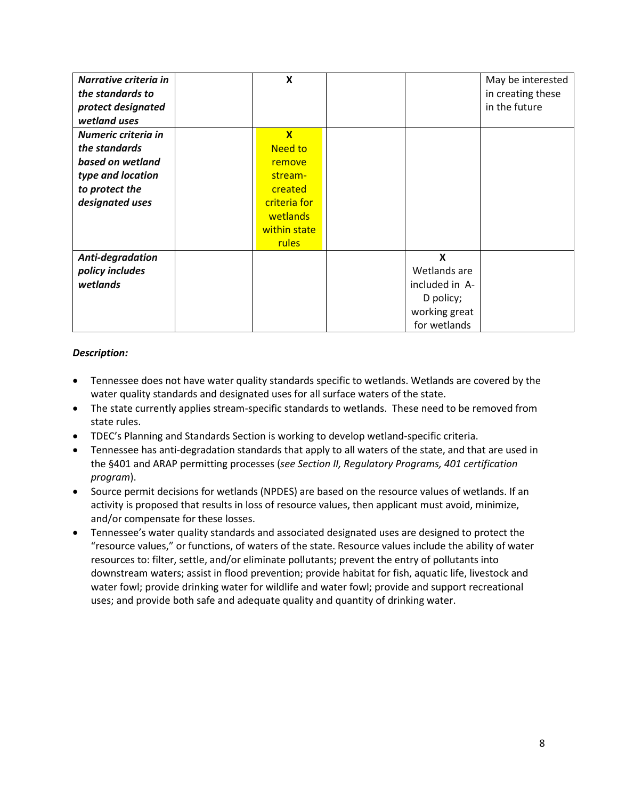| Narrative criteria in | X                       |                | May be interested |
|-----------------------|-------------------------|----------------|-------------------|
| the standards to      |                         |                | in creating these |
| protect designated    |                         |                | in the future     |
| wetland uses          |                         |                |                   |
| Numeric criteria in   | $\overline{\mathbf{X}}$ |                |                   |
| the standards         | <b>Need to</b>          |                |                   |
| based on wetland      | remove                  |                |                   |
| type and location     | stream-                 |                |                   |
| to protect the        | created                 |                |                   |
| designated uses       | criteria for            |                |                   |
|                       | wetlands                |                |                   |
|                       | within state            |                |                   |
|                       | <b>rules</b>            |                |                   |
| Anti-degradation      |                         | X              |                   |
| policy includes       |                         | Wetlands are   |                   |
| wetlands              |                         | included in A- |                   |
|                       |                         | D policy;      |                   |
|                       |                         | working great  |                   |
|                       |                         | for wetlands   |                   |

# *Description:*

- Tennessee does not have water quality standards specific to wetlands. Wetlands are covered by the water quality standards and designated uses for all surface waters of the state.
- The state currently applies stream-specific standards to wetlands. These need to be removed from state rules.
- TDEC's Planning and Standards Section is working to develop wetland-specific criteria.
- Tennessee has anti-degradation standards that apply to all waters of the state, and that are used in the §401 and ARAP permitting processes (*see Section II, Regulatory Programs, 401 certification program*).
- Source permit decisions for wetlands (NPDES) are based on the resource values of wetlands. If an activity is proposed that results in loss of resource values, then applicant must avoid, minimize, and/or compensate for these losses.
- Tennessee's water quality standards and associated designated uses are designed to protect the "resource values," or functions, of waters of the state. Resource values include the ability of water resources to: filter, settle, and/or eliminate pollutants; prevent the entry of pollutants into downstream waters; assist in flood prevention; provide habitat for fish, aquatic life, livestock and water fowl; provide drinking water for wildlife and water fowl; provide and support recreational uses; and provide both safe and adequate quality and quantity of drinking water.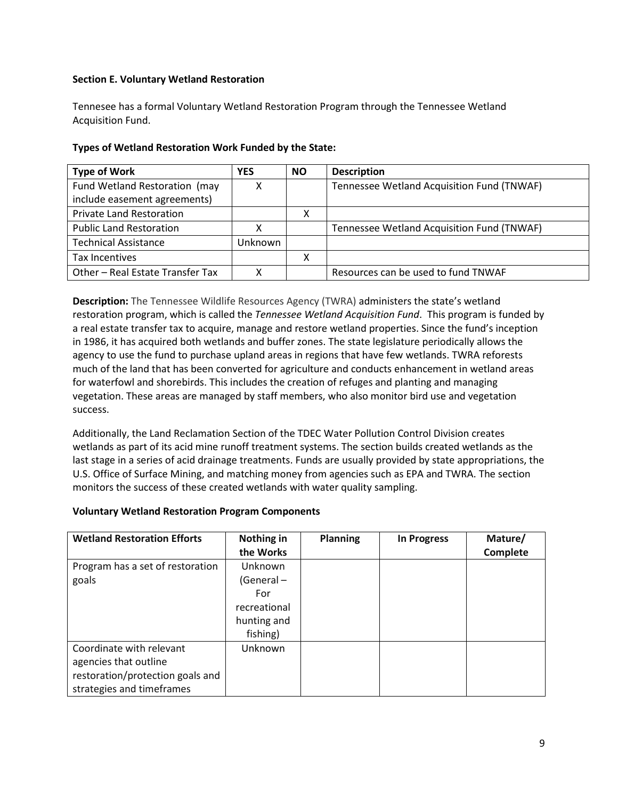# <span id="page-8-0"></span>**Section E. Voluntary Wetland Restoration**

Tennesee has a formal Voluntary Wetland Restoration Program through the Tennessee Wetland Acquisition Fund.

| <b>Type of Work</b>              | <b>YES</b> | <b>NO</b> | <b>Description</b>                         |
|----------------------------------|------------|-----------|--------------------------------------------|
| Fund Wetland Restoration (may    |            |           | Tennessee Wetland Acquisition Fund (TNWAF) |
| include easement agreements)     |            |           |                                            |
| <b>Private Land Restoration</b>  |            | x         |                                            |
| <b>Public Land Restoration</b>   |            |           | Tennessee Wetland Acquisition Fund (TNWAF) |
| <b>Technical Assistance</b>      | Unknown    |           |                                            |
| Tax Incentives                   |            | Χ         |                                            |
| Other - Real Estate Transfer Tax |            |           | Resources can be used to fund TNWAF        |

# **Types of Wetland Restoration Work Funded by the State:**

**Description:** The Tennessee Wildlife Resources Agency (TWRA) administers the state's wetland restoration program, which is called the *Tennessee Wetland Acquisition Fund*. This program is funded by a real estate transfer tax to acquire, manage and restore wetland properties. Since the fund's inception in 1986, it has acquired both wetlands and buffer zones. The state legislature periodically allows the agency to use the fund to purchase upland areas in regions that have few wetlands. TWRA reforests much of the land that has been converted for agriculture and conducts enhancement in wetland areas for waterfowl and shorebirds. This includes the creation of refuges and planting and managing vegetation. These areas are managed by staff members, who also monitor bird use and vegetation success.

Additionally, the Land Reclamation Section of the TDEC Water Pollution Control Division creates wetlands as part of its acid mine runoff treatment systems. The section builds created wetlands as the last stage in a series of acid drainage treatments. Funds are usually provided by state appropriations, the U.S. Office of Surface Mining, and matching money from agencies such as EPA and TWRA. The section monitors the success of these created wetlands with water quality sampling.

# **Voluntary Wetland Restoration Program Components**

| <b>Wetland Restoration Efforts</b> | Nothing in   | <b>Planning</b> | <b>In Progress</b> | Mature/  |
|------------------------------------|--------------|-----------------|--------------------|----------|
|                                    | the Works    |                 |                    | Complete |
| Program has a set of restoration   | Unknown      |                 |                    |          |
| goals                              | (General-    |                 |                    |          |
|                                    | For          |                 |                    |          |
|                                    | recreational |                 |                    |          |
|                                    | hunting and  |                 |                    |          |
|                                    | fishing)     |                 |                    |          |
| Coordinate with relevant           | Unknown      |                 |                    |          |
| agencies that outline              |              |                 |                    |          |
| restoration/protection goals and   |              |                 |                    |          |
| strategies and timeframes          |              |                 |                    |          |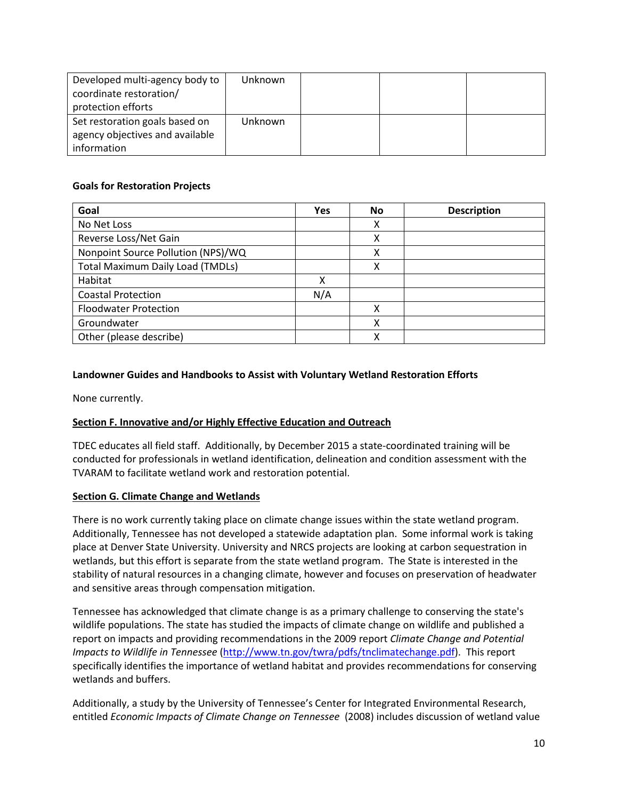| Developed multi-agency body to  | Unknown        |  |  |
|---------------------------------|----------------|--|--|
| coordinate restoration/         |                |  |  |
| protection efforts              |                |  |  |
| Set restoration goals based on  | <b>Unknown</b> |  |  |
| agency objectives and available |                |  |  |
| information                     |                |  |  |

# **Goals for Restoration Projects**

| Goal                                    | <b>Yes</b> | No | <b>Description</b> |
|-----------------------------------------|------------|----|--------------------|
| No Net Loss                             |            | x  |                    |
| Reverse Loss/Net Gain                   |            | χ  |                    |
| Nonpoint Source Pollution (NPS)/WQ      |            | χ  |                    |
| <b>Total Maximum Daily Load (TMDLs)</b> |            | χ  |                    |
| Habitat                                 | x          |    |                    |
| <b>Coastal Protection</b>               | N/A        |    |                    |
| <b>Floodwater Protection</b>            |            | Χ  |                    |
| Groundwater                             |            | χ  |                    |
| Other (please describe)                 |            | x  |                    |

# **Landowner Guides and Handbooks to Assist with Voluntary Wetland Restoration Efforts**

None currently.

# <span id="page-9-0"></span>**Section F. Innovative and/or Highly Effective Education and Outreach**

TDEC educates all field staff. Additionally, by December 2015 a state-coordinated training will be conducted for professionals in wetland identification, delineation and condition assessment with the TVARAM to facilitate wetland work and restoration potential.

# **Section G. Climate Change and Wetlands**

There is no work currently taking place on climate change issues within the state wetland program. Additionally, Tennessee has not developed a statewide adaptation plan. Some informal work is taking place at Denver State University. University and NRCS projects are looking at carbon sequestration in wetlands, but this effort is separate from the state wetland program. The State is interested in the stability of natural resources in a changing climate, however and focuses on preservation of headwater and sensitive areas through compensation mitigation.

Tennessee has acknowledged that climate change is as a primary challenge to conserving the state's wildlife populations. The state has studied the impacts of climate change on wildlife and published a report on impacts and providing recommendations in the 2009 report *Climate Change and Potential Impacts to Wildlife in Tennessee* [\(http://www.tn.gov/twra/pdfs/tnclimatechange.pdf\)](http://www.tn.gov/twra/pdfs/tnclimatechange.pdf). This report specifically identifies the importance of wetland habitat and provides recommendations for conserving wetlands and buffers.

Additionally, a study by the University of Tennessee's Center for Integrated Environmental Research, entitled *Economic Impacts of Climate Change on Tennessee* (2008) includes discussion of wetland value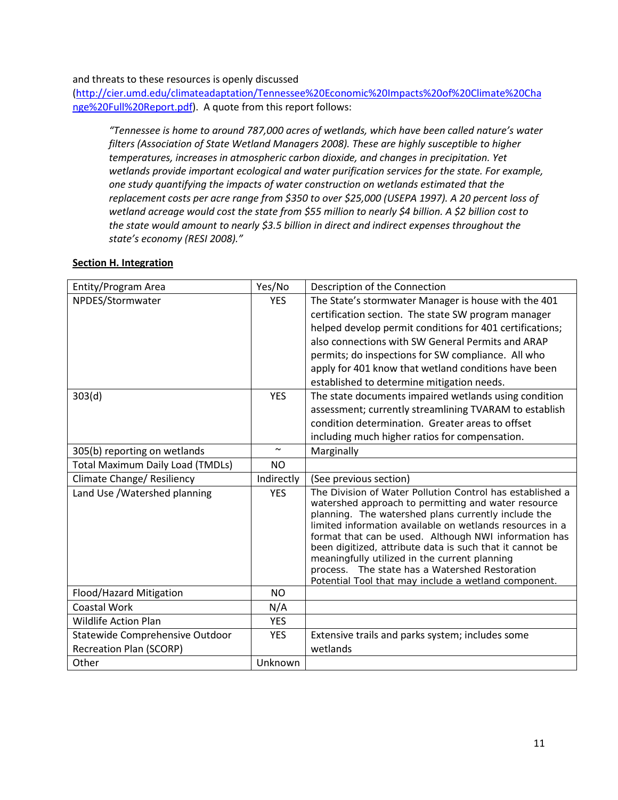### and threats to these resources is openly discussed

[\(http://cier.umd.edu/climateadaptation/Tennessee%20Economic%20Impacts%20of%20Climate%20Cha](http://cier.umd.edu/climateadaptation/Tennessee%20Economic%20Impacts%20of%20Climate%20Change%20Full%20Report.pdf) [nge%20Full%20Report.pdf\)](http://cier.umd.edu/climateadaptation/Tennessee%20Economic%20Impacts%20of%20Climate%20Change%20Full%20Report.pdf). A quote from this report follows:

*"Tennessee is home to around 787,000 acres of wetlands, which have been called nature's water filters (Association of State Wetland Managers 2008). These are highly susceptible to higher temperatures, increases in atmospheric carbon dioxide, and changes in precipitation. Yet wetlands provide important ecological and water purification services for the state. For example, one study quantifying the impacts of water construction on wetlands estimated that the replacement costs per acre range from \$350 to over \$25,000 (USEPA 1997). A 20 percent loss of wetland acreage would cost the state from \$55 million to nearly \$4 billion. A \$2 billion cost to the state would amount to nearly \$3.5 billion in direct and indirect expenses throughout the state's economy (RESI 2008)."*

### <span id="page-10-0"></span>**Section H. Integration**

| Entity/Program Area                            | Yes/No     | Description of the Connection                                                                                     |  |  |
|------------------------------------------------|------------|-------------------------------------------------------------------------------------------------------------------|--|--|
| NPDES/Stormwater                               | <b>YES</b> | The State's stormwater Manager is house with the 401                                                              |  |  |
|                                                |            | certification section. The state SW program manager                                                               |  |  |
|                                                |            | helped develop permit conditions for 401 certifications;                                                          |  |  |
|                                                |            | also connections with SW General Permits and ARAP                                                                 |  |  |
|                                                |            | permits; do inspections for SW compliance. All who                                                                |  |  |
|                                                |            | apply for 401 know that wetland conditions have been                                                              |  |  |
|                                                |            | established to determine mitigation needs.                                                                        |  |  |
| 303(d)                                         | <b>YES</b> | The state documents impaired wetlands using condition                                                             |  |  |
|                                                |            | assessment; currently streamlining TVARAM to establish                                                            |  |  |
|                                                |            | condition determination. Greater areas to offset                                                                  |  |  |
|                                                |            | including much higher ratios for compensation.                                                                    |  |  |
| 305(b) reporting on wetlands                   | $\sim$     | Marginally                                                                                                        |  |  |
| <b>Total Maximum Daily Load (TMDLs)</b>        | <b>NO</b>  |                                                                                                                   |  |  |
| Climate Change/ Resiliency                     | Indirectly | (See previous section)                                                                                            |  |  |
|                                                |            |                                                                                                                   |  |  |
| Land Use / Watershed planning                  | <b>YES</b> | The Division of Water Pollution Control has established a<br>watershed approach to permitting and water resource  |  |  |
|                                                |            | planning. The watershed plans currently include the                                                               |  |  |
|                                                |            | limited information available on wetlands resources in a<br>format that can be used. Although NWI information has |  |  |
|                                                |            | been digitized, attribute data is such that it cannot be                                                          |  |  |
|                                                |            | meaningfully utilized in the current planning                                                                     |  |  |
|                                                |            | process. The state has a Watershed Restoration                                                                    |  |  |
|                                                | <b>NO</b>  | Potential Tool that may include a wetland component.                                                              |  |  |
| Flood/Hazard Mitigation<br><b>Coastal Work</b> | N/A        |                                                                                                                   |  |  |
| <b>Wildlife Action Plan</b>                    | <b>YES</b> |                                                                                                                   |  |  |
| Statewide Comprehensive Outdoor                | <b>YES</b> | Extensive trails and parks system; includes some                                                                  |  |  |
| <b>Recreation Plan (SCORP)</b>                 |            | wetlands                                                                                                          |  |  |